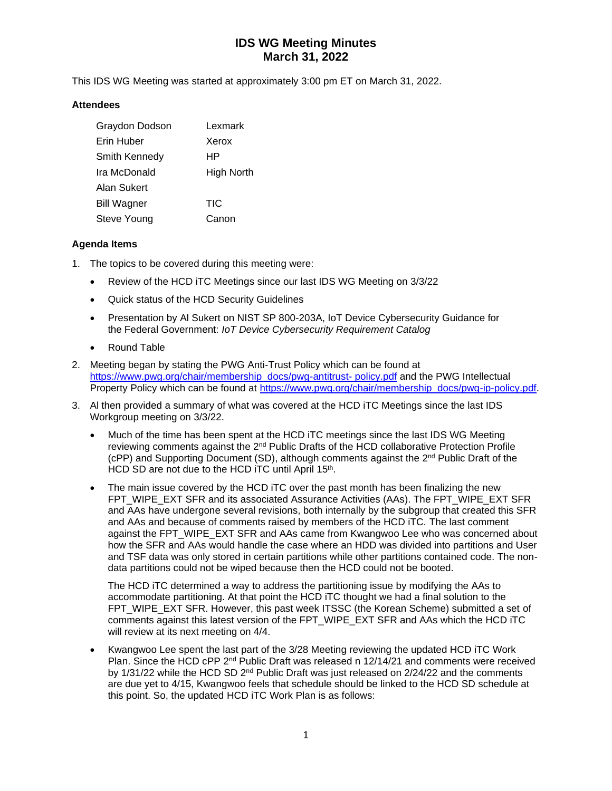This IDS WG Meeting was started at approximately 3:00 pm ET on March 31, 2022.

#### **Attendees**

| Graydon Dodson     | Lexmark    |
|--------------------|------------|
| Erin Huber         | Xerox      |
| Smith Kennedy      | ΗP         |
| Ira McDonald       | High North |
| Alan Sukert        |            |
| <b>Bill Wagner</b> | <b>TIC</b> |
| Steve Young        | Canon      |

#### **Agenda Items**

- 1. The topics to be covered during this meeting were:
	- Review of the HCD iTC Meetings since our last IDS WG Meeting on 3/3/22
	- Quick status of the HCD Security Guidelines
	- Presentation by Al Sukert on NIST SP 800-203A, IoT Device Cybersecurity Guidance for the Federal Government: *IoT Device Cybersecurity Requirement Catalog*
	- Round Table
- 2. Meeting began by stating the PWG Anti-Trust Policy which can be found at [https://www.pwg.org/chair/membership\\_docs/pwg-antitrust-](https://www.pwg.org/chair/membership_docs/pwg-antitrust-%20policy.pdf) policy.pdf and the PWG Intellectual Property Policy which can be found at [https://www.pwg.org/chair/membership\\_docs/pwg-ip-policy.pdf.](https://www.pwg.org/chair/membership_docs/pwg-ip-policy.pdf)
- 3. Al then provided a summary of what was covered at the HCD iTC Meetings since the last IDS Workgroup meeting on 3/3/22.
	- Much of the time has been spent at the HCD iTC meetings since the last IDS WG Meeting reviewing comments against the 2<sup>nd</sup> Public Drafts of the HCD collaborative Protection Profile (cPP) and Supporting Document (SD), although comments against the 2nd Public Draft of the HCD SD are not due to the HCD iTC until April  $15<sup>th</sup>$ .
	- The main issue covered by the HCD iTC over the past month has been finalizing the new FPT\_WIPE\_EXT SFR and its associated Assurance Activities (AAs). The FPT\_WIPE\_EXT SFR and AAs have undergone several revisions, both internally by the subgroup that created this SFR and AAs and because of comments raised by members of the HCD iTC. The last comment against the FPT\_WIPE\_EXT SFR and AAs came from Kwangwoo Lee who was concerned about how the SFR and AAs would handle the case where an HDD was divided into partitions and User and TSF data was only stored in certain partitions while other partitions contained code. The nondata partitions could not be wiped because then the HCD could not be booted.

The HCD iTC determined a way to address the partitioning issue by modifying the AAs to accommodate partitioning. At that point the HCD iTC thought we had a final solution to the FPT\_WIPE\_EXT SFR. However, this past week ITSSC (the Korean Scheme) submitted a set of comments against this latest version of the FPT\_WIPE\_EXT SFR and AAs which the HCD iTC will review at its next meeting on 4/4.

• Kwangwoo Lee spent the last part of the 3/28 Meeting reviewing the updated HCD iTC Work Plan. Since the HCD cPP  $2<sup>nd</sup>$  Public Draft was released n  $12/14/21$  and comments were received by 1/31/22 while the HCD SD  $2<sup>nd</sup>$  Public Draft was just released on  $2/24/22$  and the comments are due yet to 4/15, Kwangwoo feels that schedule should be linked to the HCD SD schedule at this point. So, the updated HCD iTC Work Plan is as follows: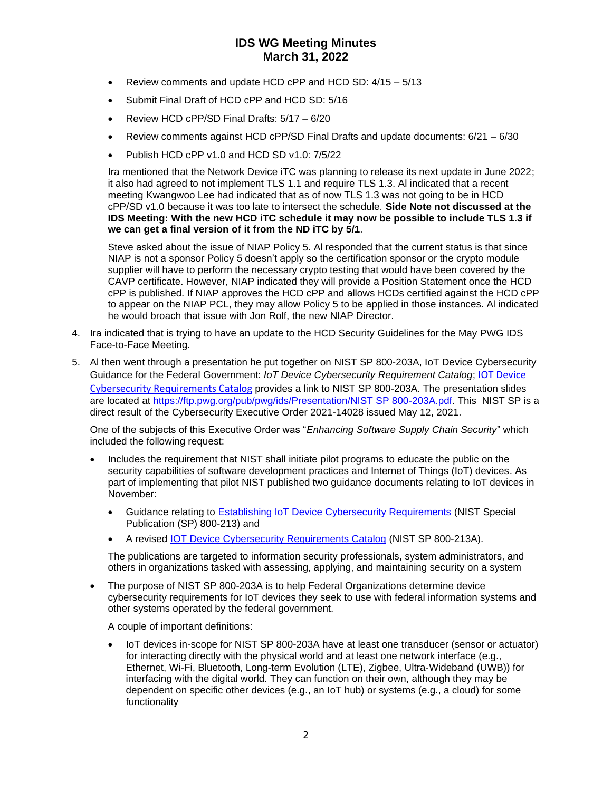- Review comments and update HCD cPP and HCD SD:  $4/15 5/13$
- Submit Final Draft of HCD cPP and HCD SD: 5/16
- Review HCD cPP/SD Final Drafts: 5/17 6/20
- Review comments against HCD cPP/SD Final Drafts and update documents: 6/21 6/30
- Publish HCD cPP v1.0 and HCD SD v1.0: 7/5/22

Ira mentioned that the Network Device iTC was planning to release its next update in June 2022; it also had agreed to not implement TLS 1.1 and require TLS 1.3. Al indicated that a recent meeting Kwangwoo Lee had indicated that as of now TLS 1.3 was not going to be in HCD cPP/SD v1.0 because it was too late to intersect the schedule. **Side Note not discussed at the IDS Meeting: With the new HCD iTC schedule it may now be possible to include TLS 1.3 if we can get a final version of it from the ND iTC by 5/1**.

Steve asked about the issue of NIAP Policy 5. Al responded that the current status is that since NIAP is not a sponsor Policy 5 doesn't apply so the certification sponsor or the crypto module supplier will have to perform the necessary crypto testing that would have been covered by the CAVP certificate. However, NIAP indicated they will provide a Position Statement once the HCD cPP is published. If NIAP approves the HCD cPP and allows HCDs certified against the HCD cPP to appear on the NIAP PCL, they may allow Policy 5 to be applied in those instances. Al indicated he would broach that issue with Jon Rolf, the new NIAP Director.

- 4. Ira indicated that is trying to have an update to the HCD Security Guidelines for the May PWG IDS Face-to-Face Meeting.
- 5. Al then went through a presentation he put together on NIST SP 800-203A, IoT Device Cybersecurity Guidance for the Federal Government: *IoT Device Cybersecurity Requirement Catalog*; [IOT Device](https://nvlpubs.nist.gov/nistpubs/SpecialPublications/NIST.SP.800-213A.pdf)  [Cybersecurity Requirements Catalog](https://nvlpubs.nist.gov/nistpubs/SpecialPublications/NIST.SP.800-213A.pdf) provides a link to NIST SP 800-203A. The presentation slides are located at [https://ftp.pwg.org/pub/pwg/ids/Presentation/NIST SP 800-203A.pdf.](https://ftp.pwg.org/pub/pwg/ids/Presentation/NIST%20SP%20800-203A.pdf) This NIST SP is a direct result of the Cybersecurity Executive Order 2021-14028 issued May 12, 2021.

One of the subjects of this Executive Order was "*Enhancing Software Supply Chain Security*" which included the following request:

- Includes the requirement that NIST shall initiate pilot programs to educate the public on the security capabilities of software development practices and Internet of Things (IoT) devices. As part of implementing that pilot NIST published two guidance documents relating to IoT devices in November:
	- Guidance relating to [Establishing IoT Device Cybersecurity Requirements](https://nvlpubs.nist.gov/nistpubs/SpecialPublications/NIST.SP.800-213.pdf) (NIST Special Publication (SP) 800-213) and
	- A revised [IOT Device Cybersecurity Requirements Catalog](https://nvlpubs.nist.gov/nistpubs/SpecialPublications/NIST.SP.800-213A.pdf) (NIST SP 800-213A).

The publications are targeted to information security professionals, system administrators, and others in organizations tasked with assessing, applying, and maintaining security on a system

• The purpose of NIST SP 800-203A is to help Federal Organizations determine device cybersecurity requirements for IoT devices they seek to use with federal information systems and other systems operated by the federal government.

A couple of important definitions:

• IoT devices in-scope for NIST SP 800-203A have at least one transducer (sensor or actuator) for interacting directly with the physical world and at least one network interface (e.g., Ethernet, Wi-Fi, Bluetooth, Long-term Evolution (LTE), Zigbee, Ultra-Wideband (UWB)) for interfacing with the digital world. They can function on their own, although they may be dependent on specific other devices (e.g., an IoT hub) or systems (e.g., a cloud) for some functionality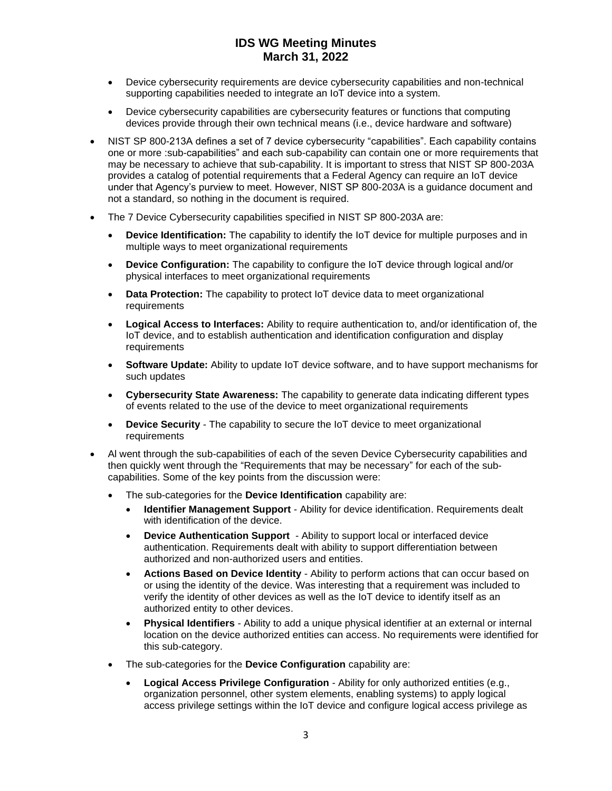- Device cybersecurity requirements are device cybersecurity capabilities and non-technical supporting capabilities needed to integrate an IoT device into a system.
- Device cybersecurity capabilities are cybersecurity features or functions that computing devices provide through their own technical means (i.e., device hardware and software)
- NIST SP 800-213A defines a set of 7 device cybersecurity "capabilities". Each capability contains one or more :sub-capabilities" and each sub-capability can contain one or more requirements that may be necessary to achieve that sub-capability. It is important to stress that NIST SP 800-203A provides a catalog of potential requirements that a Federal Agency can require an IoT device under that Agency's purview to meet. However, NIST SP 800-203A is a guidance document and not a standard, so nothing in the document is required.
- The 7 Device Cybersecurity capabilities specified in NIST SP 800-203A are:
	- **Device Identification:** The capability to identify the IoT device for multiple purposes and in multiple ways to meet organizational requirements
	- **Device Configuration:** The capability to configure the IoT device through logical and/or physical interfaces to meet organizational requirements
	- **Data Protection:** The capability to protect IoT device data to meet organizational **requirements**
	- **Logical Access to Interfaces:** Ability to require authentication to, and/or identification of, the IoT device, and to establish authentication and identification configuration and display requirements
	- **Software Update:** Ability to update IoT device software, and to have support mechanisms for such updates
	- **Cybersecurity State Awareness:** The capability to generate data indicating different types of events related to the use of the device to meet organizational requirements
	- **Device Security**  The capability to secure the IoT device to meet organizational **requirements**
- Al went through the sub-capabilities of each of the seven Device Cybersecurity capabilities and then quickly went through the "Requirements that may be necessary" for each of the subcapabilities. Some of the key points from the discussion were:
	- The sub-categories for the **Device Identification** capability are:
		- **Identifier Management Support** Ability for device identification. Requirements dealt with identification of the device.
		- **Device Authentication Support** Ability to support local or interfaced device authentication. Requirements dealt with ability to support differentiation between authorized and non-authorized users and entities.
		- **Actions Based on Device Identity** Ability to perform actions that can occur based on or using the identity of the device. Was interesting that a requirement was included to verify the identity of other devices as well as the IoT device to identify itself as an authorized entity to other devices.
		- **Physical Identifiers** Ability to add a unique physical identifier at an external or internal location on the device authorized entities can access. No requirements were identified for this sub-category.
	- The sub-categories for the **Device Configuration** capability are:
		- **Logical Access Privilege Configuration** Ability for only authorized entities (e.g., organization personnel, other system elements, enabling systems) to apply logical access privilege settings within the IoT device and configure logical access privilege as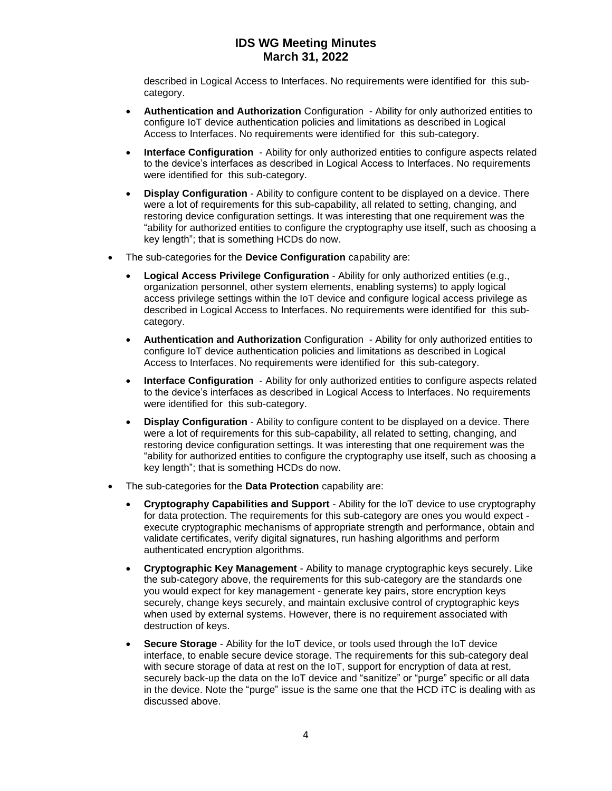described in Logical Access to Interfaces. No requirements were identified for this subcategory.

- **Authentication and Authorization** Configuration Ability for only authorized entities to configure IoT device authentication policies and limitations as described in Logical Access to Interfaces. No requirements were identified for this sub-category.
- **Interface Configuration** Ability for only authorized entities to configure aspects related to the device's interfaces as described in Logical Access to Interfaces. No requirements were identified for this sub-category.
- **Display Configuration** Ability to configure content to be displayed on a device. There were a lot of requirements for this sub-capability, all related to setting, changing, and restoring device configuration settings. It was interesting that one requirement was the "ability for authorized entities to configure the cryptography use itself, such as choosing a key length"; that is something HCDs do now.
- The sub-categories for the **Device Configuration** capability are:
	- **Logical Access Privilege Configuration** Ability for only authorized entities (e.g., organization personnel, other system elements, enabling systems) to apply logical access privilege settings within the IoT device and configure logical access privilege as described in Logical Access to Interfaces. No requirements were identified for this subcategory.
	- **Authentication and Authorization** Configuration Ability for only authorized entities to configure IoT device authentication policies and limitations as described in Logical Access to Interfaces. No requirements were identified for this sub-category.
	- **Interface Configuration**  Ability for only authorized entities to configure aspects related to the device's interfaces as described in Logical Access to Interfaces. No requirements were identified for this sub-category.
	- **Display Configuration** Ability to configure content to be displayed on a device. There were a lot of requirements for this sub-capability, all related to setting, changing, and restoring device configuration settings. It was interesting that one requirement was the "ability for authorized entities to configure the cryptography use itself, such as choosing a key length"; that is something HCDs do now.
- The sub-categories for the **Data Protection** capability are:
	- **Cryptography Capabilities and Support** Ability for the IoT device to use cryptography for data protection. The requirements for this sub-category are ones you would expect execute cryptographic mechanisms of appropriate strength and performance, obtain and validate certificates, verify digital signatures, run hashing algorithms and perform authenticated encryption algorithms.
	- **Cryptographic Key Management** Ability to manage cryptographic keys securely. Like the sub-category above, the requirements for this sub-category are the standards one you would expect for key management - generate key pairs, store encryption keys securely, change keys securely, and maintain exclusive control of cryptographic keys when used by external systems. However, there is no requirement associated with destruction of keys.
	- **Secure Storage** Ability for the IoT device, or tools used through the IoT device interface, to enable secure device storage. The requirements for this sub-category deal with secure storage of data at rest on the IoT, support for encryption of data at rest, securely back-up the data on the IoT device and "sanitize" or "purge" specific or all data in the device. Note the "purge" issue is the same one that the HCD iTC is dealing with as discussed above.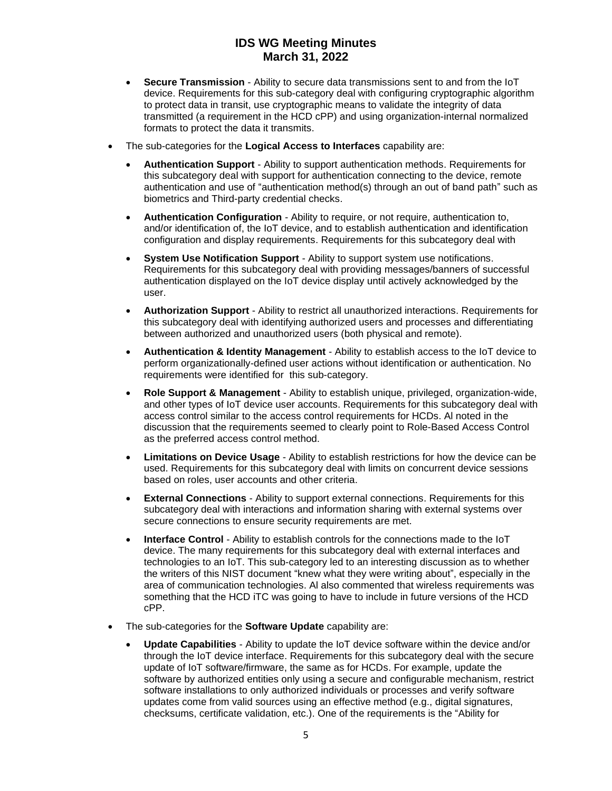- **Secure Transmission** Ability to secure data transmissions sent to and from the IoT device. Requirements for this sub-category deal with configuring cryptographic algorithm to protect data in transit, use cryptographic means to validate the integrity of data transmitted (a requirement in the HCD cPP) and using organization-internal normalized formats to protect the data it transmits.
- The sub-categories for the **Logical Access to Interfaces** capability are:
	- **Authentication Support** Ability to support authentication methods. Requirements for this subcategory deal with support for authentication connecting to the device, remote authentication and use of "authentication method(s) through an out of band path" such as biometrics and Third-party credential checks.
	- **Authentication Configuration** Ability to require, or not require, authentication to, and/or identification of, the IoT device, and to establish authentication and identification configuration and display requirements. Requirements for this subcategory deal with
	- **System Use Notification Support** Ability to support system use notifications. Requirements for this subcategory deal with providing messages/banners of successful authentication displayed on the IoT device display until actively acknowledged by the user.
	- **Authorization Support** Ability to restrict all unauthorized interactions. Requirements for this subcategory deal with identifying authorized users and processes and differentiating between authorized and unauthorized users (both physical and remote).
	- **Authentication & Identity Management** Ability to establish access to the IoT device to perform organizationally-defined user actions without identification or authentication. No requirements were identified for this sub-category.
	- **Role Support & Management** Ability to establish unique, privileged, organization-wide, and other types of IoT device user accounts. Requirements for this subcategory deal with access control similar to the access control requirements for HCDs. Al noted in the discussion that the requirements seemed to clearly point to Role-Based Access Control as the preferred access control method.
	- **Limitations on Device Usage** Ability to establish restrictions for how the device can be used. Requirements for this subcategory deal with limits on concurrent device sessions based on roles, user accounts and other criteria.
	- **External Connections** Ability to support external connections. Requirements for this subcategory deal with interactions and information sharing with external systems over secure connections to ensure security requirements are met.
	- **Interface Control** Ability to establish controls for the connections made to the IoT device. The many requirements for this subcategory deal with external interfaces and technologies to an IoT. This sub-category led to an interesting discussion as to whether the writers of this NIST document "knew what they were writing about", especially in the area of communication technologies. Al also commented that wireless requirements was something that the HCD iTC was going to have to include in future versions of the HCD cPP.
- The sub-categories for the **Software Update** capability are:
	- **Update Capabilities** Ability to update the IoT device software within the device and/or through the IoT device interface. Requirements for this subcategory deal with the secure update of IoT software/firmware, the same as for HCDs. For example, update the software by authorized entities only using a secure and configurable mechanism, restrict software installations to only authorized individuals or processes and verify software updates come from valid sources using an effective method (e.g., digital signatures, checksums, certificate validation, etc.). One of the requirements is the "Ability for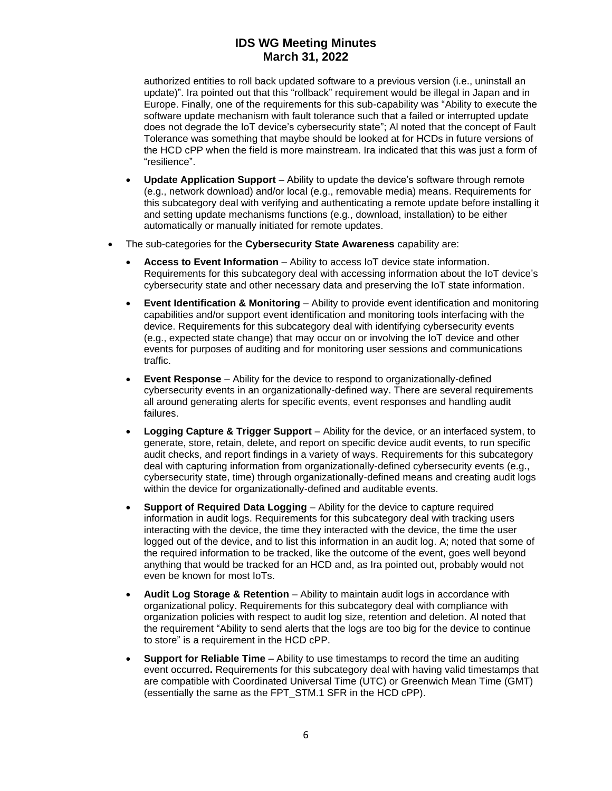authorized entities to roll back updated software to a previous version (i.e., uninstall an update)". Ira pointed out that this "rollback" requirement would be illegal in Japan and in Europe. Finally, one of the requirements for this sub-capability was "Ability to execute the software update mechanism with fault tolerance such that a failed or interrupted update does not degrade the IoT device's cybersecurity state"; Al noted that the concept of Fault Tolerance was something that maybe should be looked at for HCDs in future versions of the HCD cPP when the field is more mainstream. Ira indicated that this was just a form of "resilience".

- **Update Application Support** Ability to update the device's software through remote (e.g., network download) and/or local (e.g., removable media) means. Requirements for this subcategory deal with verifying and authenticating a remote update before installing it and setting update mechanisms functions (e.g., download, installation) to be either automatically or manually initiated for remote updates.
- The sub-categories for the **Cybersecurity State Awareness** capability are:
	- **Access to Event Information** Ability to access IoT device state information. Requirements for this subcategory deal with accessing information about the IoT device's cybersecurity state and other necessary data and preserving the IoT state information.
	- **Event Identification & Monitoring** Ability to provide event identification and monitoring capabilities and/or support event identification and monitoring tools interfacing with the device. Requirements for this subcategory deal with identifying cybersecurity events (e.g., expected state change) that may occur on or involving the IoT device and other events for purposes of auditing and for monitoring user sessions and communications traffic.
	- **Event Response** Ability for the device to respond to organizationally-defined cybersecurity events in an organizationally-defined way. There are several requirements all around generating alerts for specific events, event responses and handling audit failures.
	- **Logging Capture & Trigger Support** Ability for the device, or an interfaced system, to generate, store, retain, delete, and report on specific device audit events, to run specific audit checks, and report findings in a variety of ways. Requirements for this subcategory deal with capturing information from organizationally-defined cybersecurity events (e.g., cybersecurity state, time) through organizationally-defined means and creating audit logs within the device for organizationally-defined and auditable events.
	- **Support of Required Data Logging** Ability for the device to capture required information in audit logs. Requirements for this subcategory deal with tracking users interacting with the device, the time they interacted with the device, the time the user logged out of the device, and to list this information in an audit log. A; noted that some of the required information to be tracked, like the outcome of the event, goes well beyond anything that would be tracked for an HCD and, as Ira pointed out, probably would not even be known for most IoTs.
	- **Audit Log Storage & Retention** Ability to maintain audit logs in accordance with organizational policy. Requirements for this subcategory deal with compliance with organization policies with respect to audit log size, retention and deletion. Al noted that the requirement "Ability to send alerts that the logs are too big for the device to continue to store" is a requirement in the HCD cPP.
	- **Support for Reliable Time**  Ability to use timestamps to record the time an auditing event occurred**.** Requirements for this subcategory deal with having valid timestamps that are compatible with Coordinated Universal Time (UTC) or Greenwich Mean Time (GMT) (essentially the same as the FPT\_STM.1 SFR in the HCD cPP).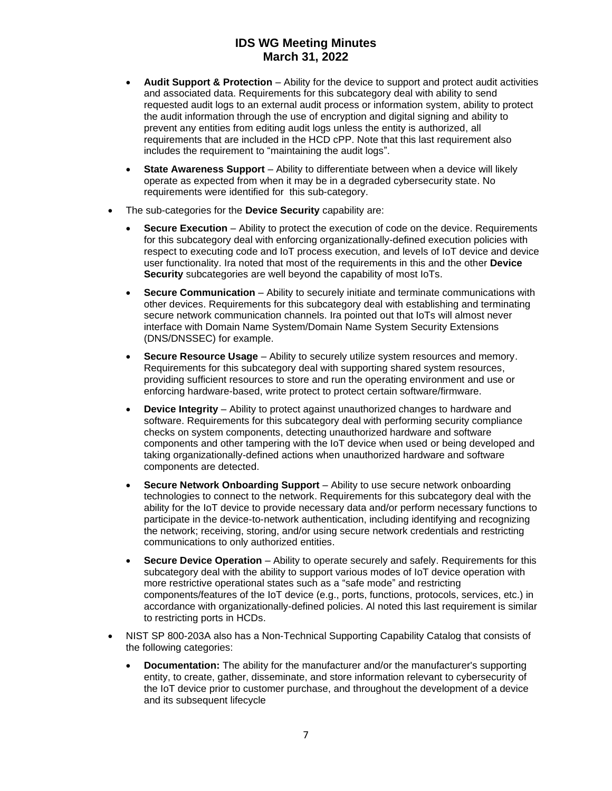- **Audit Support & Protection**  Ability for the device to support and protect audit activities and associated data. Requirements for this subcategory deal with ability to send requested audit logs to an external audit process or information system, ability to protect the audit information through the use of encryption and digital signing and ability to prevent any entities from editing audit logs unless the entity is authorized, all requirements that are included in the HCD cPP. Note that this last requirement also includes the requirement to "maintaining the audit logs".
- **State Awareness Support** Ability to differentiate between when a device will likely operate as expected from when it may be in a degraded cybersecurity state. No requirements were identified for this sub-category.
- The sub-categories for the **Device Security** capability are:
	- **Secure Execution** Ability to protect the execution of code on the device. Requirements for this subcategory deal with enforcing organizationally-defined execution policies with respect to executing code and IoT process execution, and levels of IoT device and device user functionality. Ira noted that most of the requirements in this and the other **Device Security** subcategories are well beyond the capability of most IoTs.
	- **Secure Communication** Ability to securely initiate and terminate communications with other devices. Requirements for this subcategory deal with establishing and terminating secure network communication channels. Ira pointed out that IoTs will almost never interface with Domain Name System/Domain Name System Security Extensions (DNS/DNSSEC) for example.
	- **Secure Resource Usage** Ability to securely utilize system resources and memory. Requirements for this subcategory deal with supporting shared system resources, providing sufficient resources to store and run the operating environment and use or enforcing hardware-based, write protect to protect certain software/firmware.
	- **Device Integrity**  Ability to protect against unauthorized changes to hardware and software. Requirements for this subcategory deal with performing security compliance checks on system components, detecting unauthorized hardware and software components and other tampering with the IoT device when used or being developed and taking organizationally-defined actions when unauthorized hardware and software components are detected.
	- **Secure Network Onboarding Support**  Ability to use secure network onboarding technologies to connect to the network. Requirements for this subcategory deal with the ability for the IoT device to provide necessary data and/or perform necessary functions to participate in the device-to-network authentication, including identifying and recognizing the network; receiving, storing, and/or using secure network credentials and restricting communications to only authorized entities.
	- **Secure Device Operation**  Ability to operate securely and safely. Requirements for this subcategory deal with the ability to support various modes of IoT device operation with more restrictive operational states such as a "safe mode" and restricting components/features of the IoT device (e.g., ports, functions, protocols, services, etc.) in accordance with organizationally-defined policies. Al noted this last requirement is similar to restricting ports in HCDs.
- NIST SP 800-203A also has a Non-Technical Supporting Capability Catalog that consists of the following categories:
	- **Documentation:** The ability for the manufacturer and/or the manufacturer's supporting entity, to create, gather, disseminate, and store information relevant to cybersecurity of the IoT device prior to customer purchase, and throughout the development of a device and its subsequent lifecycle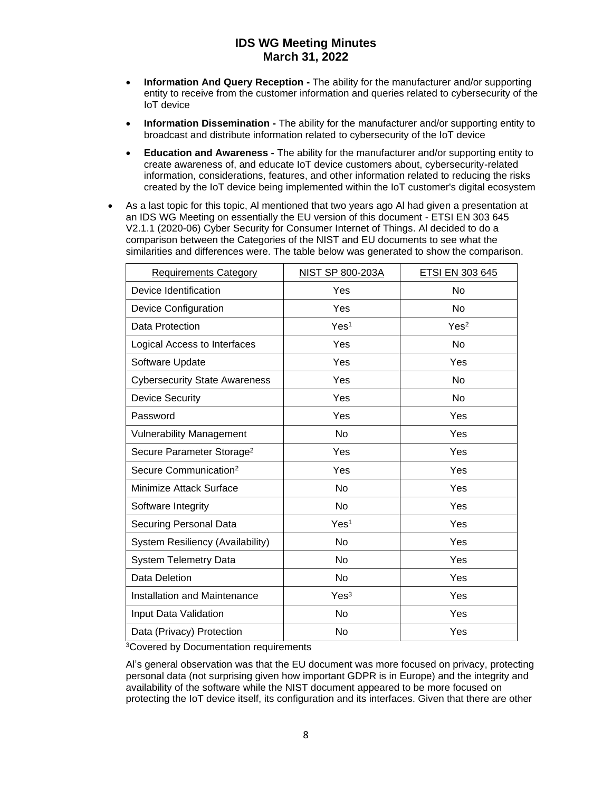- **Information And Query Reception -** The ability for the manufacturer and/or supporting entity to receive from the customer information and queries related to cybersecurity of the IoT device
- **Information Dissemination -** The ability for the manufacturer and/or supporting entity to broadcast and distribute information related to cybersecurity of the IoT device
- **Education and Awareness -** The ability for the manufacturer and/or supporting entity to create awareness of, and educate IoT device customers about, cybersecurity-related information, considerations, features, and other information related to reducing the risks created by the IoT device being implemented within the IoT customer's digital ecosystem
- As a last topic for this topic. Al mentioned that two vears ago Al had given a presentation at an IDS WG Meeting on essentially the EU version of this document - ETSI EN 303 645 V2.1.1 (2020-06) Cyber Security for Consumer Internet of Things. Al decided to do a comparison between the Categories of the NIST and EU documents to see what the similarities and differences were. The table below was generated to show the comparison.

| <b>Requirements Category</b>          | NIST SP 800-203A | ETSI EN 303 645  |
|---------------------------------------|------------------|------------------|
| Device Identification                 | Yes              | No               |
| <b>Device Configuration</b>           | Yes              | <b>No</b>        |
| Data Protection                       | Yes <sup>1</sup> | Yes <sup>2</sup> |
| Logical Access to Interfaces          | Yes              | No               |
| Software Update                       | Yes              | Yes              |
| <b>Cybersecurity State Awareness</b>  | Yes              | No               |
| <b>Device Security</b>                | Yes              | No               |
| Password                              | Yes              | Yes              |
| <b>Vulnerability Management</b>       | No               | Yes              |
| Secure Parameter Storage <sup>2</sup> | Yes              | Yes              |
| Secure Communication <sup>2</sup>     | Yes              | Yes              |
| Minimize Attack Surface               | N <sub>o</sub>   | Yes              |
| Software Integrity                    | <b>No</b>        | Yes              |
| Securing Personal Data                | Yes <sup>1</sup> | Yes              |
| System Resiliency (Availability)      | <b>No</b>        | Yes              |
| <b>System Telemetry Data</b>          | N <sub>o</sub>   | Yes              |
| Data Deletion                         | <b>No</b>        | Yes              |
| Installation and Maintenance          | Yes <sup>3</sup> | Yes              |
| Input Data Validation                 | No               | Yes              |
| Data (Privacy) Protection             | No               | Yes              |

<sup>3</sup>Covered by Documentation requirements

Al's general observation was that the EU document was more focused on privacy, protecting personal data (not surprising given how important GDPR is in Europe) and the integrity and availability of the software while the NIST document appeared to be more focused on protecting the IoT device itself, its configuration and its interfaces. Given that there are other